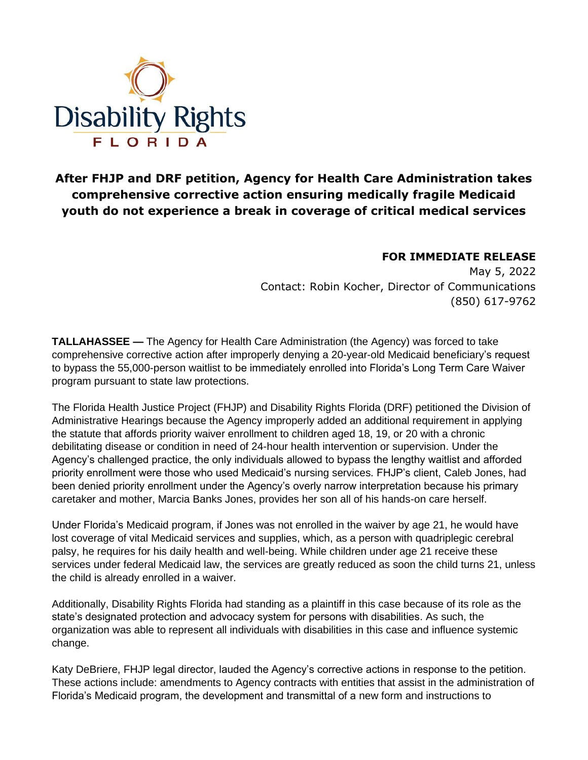

**After FHJP and DRF petition, Agency for Health Care Administration takes comprehensive corrective action ensuring medically fragile Medicaid youth do not experience a break in coverage of critical medical services**

## **FOR IMMEDIATE RELEASE**

May 5, 2022 Contact: Robin Kocher, Director of Communications (850) 617-9762

**TALLAHASSEE —** The Agency for Health Care Administration (the Agency) was forced to take comprehensive corrective action after improperly denying a 20-year-old Medicaid beneficiary's request to bypass the 55,000-person waitlist to be immediately enrolled into Florida's Long Term Care Waiver program pursuant to state law protections.

The Florida Health Justice Project (FHJP) and Disability Rights Florida (DRF) petitioned the Division of Administrative Hearings because the Agency improperly added an additional requirement in applying the statute that affords priority waiver enrollment to children aged 18, 19, or 20 with a chronic debilitating disease or condition in need of 24-hour health intervention or supervision. Under the Agency's challenged practice, the only individuals allowed to bypass the lengthy waitlist and afforded priority enrollment were those who used Medicaid's nursing services. FHJP's client, Caleb Jones, had been denied priority enrollment under the Agency's overly narrow interpretation because his primary caretaker and mother, Marcia Banks Jones, provides her son all of his hands-on care herself.

Under Florida's Medicaid program, if Jones was not enrolled in the waiver by age 21, he would have lost coverage of vital Medicaid services and supplies, which, as a person with quadriplegic cerebral palsy, he requires for his daily health and well-being. While children under age 21 receive these services under federal Medicaid law, the services are greatly reduced as soon the child turns 21, unless the child is already enrolled in a waiver.

Additionally, Disability Rights Florida had standing as a plaintiff in this case because of its role as the state's designated protection and advocacy system for persons with disabilities. As such, the organization was able to represent all individuals with disabilities in this case and influence systemic change.

Katy DeBriere, FHJP legal director, lauded the Agency's corrective actions in response to the petition. These actions include: amendments to Agency contracts with entities that assist in the administration of Florida's Medicaid program, the development and transmittal of a new form and instructions to